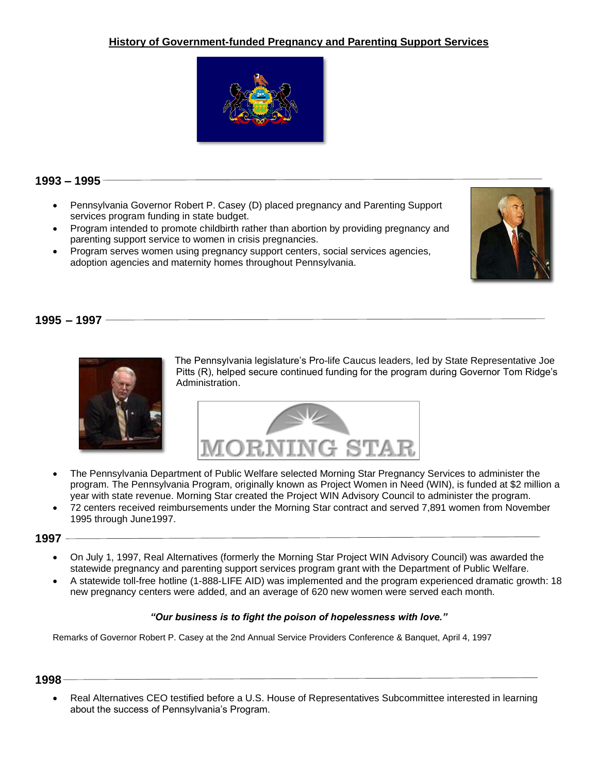# **History of Government-funded Pregnancy and Parenting Support Services**



# **1993 – 1995**

- Pennsylvania Governor Robert P. Casey (D) placed pregnancy and Parenting Support services program funding in state budget.
- Program intended to promote childbirth rather than abortion by providing pregnancy and parenting support service to women in crisis pregnancies.
- Program serves women using pregnancy support centers, social services agencies, adoption agencies and maternity homes throughout Pennsylvania.



# **1995 – 1997**



The Pennsylvania legislature's Pro-life Caucus leaders, led by State Representative Joe Pitts (R), helped secure continued funding for the program during Governor Tom Ridge's Administration.



- The Pennsylvania Department of Public Welfare selected Morning Star Pregnancy Services to administer the program. The Pennsylvania Program, originally known as Project Women in Need (WIN), is funded at \$2 million a year with state revenue. Morning Star created the Project WIN Advisory Council to administer the program.
- 72 centers received reimbursements under the Morning Star contract and served 7,891 women from November 1995 through June1997.

#### **1997**

- On July 1, 1997, Real Alternatives (formerly the Morning Star Project WIN Advisory Council) was awarded the statewide pregnancy and parenting support services program grant with the Department of Public Welfare.
- A statewide toll-free hotline (1-888-LIFE AID) was implemented and the program experienced dramatic growth: 18 new pregnancy centers were added, and an average of 620 new women were served each month.

#### *"Our business is to fight the poison of hopelessness with love."*

Remarks of Governor Robert P. Casey at the 2nd Annual Service Providers Conference & Banquet, April 4, 1997

#### **1998**

• Real Alternatives CEO testified before a U.S. House of Representatives Subcommittee interested in learning about the success of Pennsylvania's Program.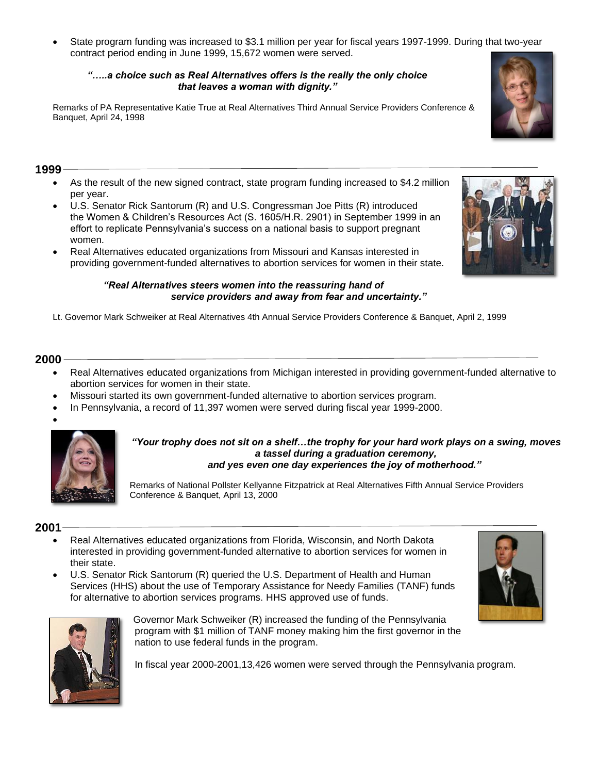• State program funding was increased to \$3.1 million per year for fiscal years 1997-1999. During that two-year contract period ending in June 1999, 15,672 women were served.

## *"…..a choice such as Real Alternatives offers is the really the only choice that leaves a woman with dignity."*

Remarks of PA Representative Katie True at Real Alternatives Third Annual Service Providers Conference & Banquet, April 24, 1998

# **1999**

- As the result of the new signed contract, state program funding increased to \$4.2 million per year.
- U.S. Senator Rick Santorum (R) and U.S. Congressman Joe Pitts (R) introduced the Women & Children's Resources Act (S. 1605/H.R. 2901) in September 1999 in an effort to replicate Pennsylvania's success on a national basis to support pregnant women.
- Real Alternatives educated organizations from Missouri and Kansas interested in providing government-funded alternatives to abortion services for women in their state.

#### *"Real Alternatives steers women into the reassuring hand of service providers and away from fear and uncertainty."*

Lt. Governor Mark Schweiker at Real Alternatives 4th Annual Service Providers Conference & Banquet, April 2, 1999

# **2000**

- Real Alternatives educated organizations from Michigan interested in providing government-funded alternative to abortion services for women in their state.
- Missouri started its own government-funded alternative to abortion services program.
- In Pennsylvania, a record of 11,397 women were served during fiscal year 1999-2000.





#### *"Your trophy does not sit on a shelf…the trophy for your hard work plays on a swing, moves a tassel during a graduation ceremony, and yes even one day experiences the joy of motherhood."*

Remarks of National Pollster Kellyanne Fitzpatrick at Real Alternatives Fifth Annual Service Providers Conference & Banquet, April 13, 2000

# **2001**

- Real Alternatives educated organizations from Florida, Wisconsin, and North Dakota interested in providing government-funded alternative to abortion services for women in their state.
- U.S. Senator Rick Santorum (R) queried the U.S. Department of Health and Human Services (HHS) about the use of Temporary Assistance for Needy Families (TANF) funds for alternative to abortion services programs. HHS approved use of funds.



Governor Mark Schweiker (R) increased the funding of the Pennsylvania program with \$1 million of TANF money making him the first governor in the nation to use federal funds in the program.

In fiscal year 2000-2001,13,426 women were served through the Pennsylvania program.



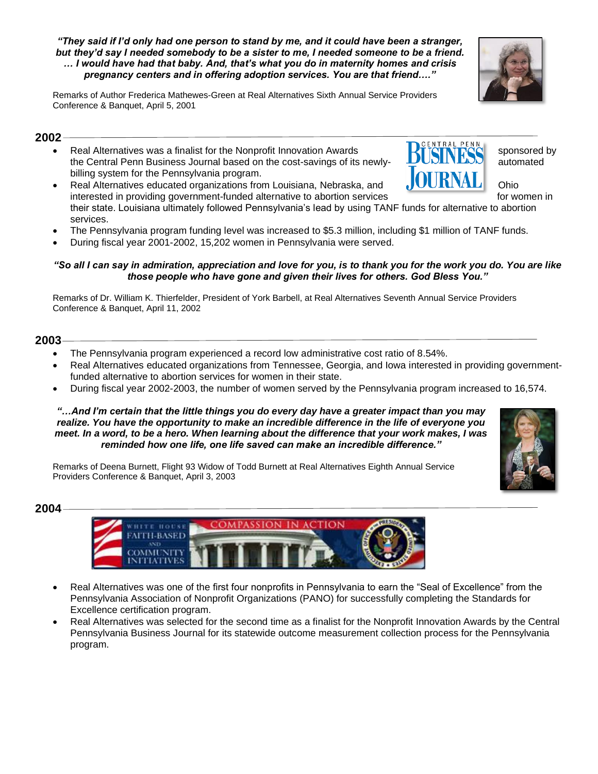#### *"They said if I'd only had one person to stand by me, and it could have been a stranger, but they'd say I needed somebody to be a sister to me, I needed someone to be a friend. … I would have had that baby. And, that's what you do in maternity homes and crisis pregnancy centers and in offering adoption services. You are that friend…."*

Remarks of Author Frederica Mathewes-Green at Real Alternatives Sixth Annual Service Providers Conference & Banquet, April 5, 2001

# **2002**

- Real Alternatives was a finalist for the Nonprofit Innovation Awards  $R^{\text{max}}$ the Central Penn Business Journal based on the cost-savings of its newly-<br> **LUDITIERS** automated billing system for the Pennsylvania program.
- Real Alternatives educated organizations from Louisiana, Nebraska, and **OLIMAL** Ohio interested in providing government-funded alternative to abortion services for women in their state. Louisiana ultimately followed Pennsylvania's lead by using TANF funds for alternative to abortion services.
- The Pennsylvania program funding level was increased to \$5.3 million, including \$1 million of TANF funds.
- During fiscal year 2001-2002, 15,202 women in Pennsylvania were served.

## *"So all I can say in admiration, appreciation and love for you, is to thank you for the work you do. You are like those people who have gone and given their lives for others. God Bless You."*

Remarks of Dr. William K. Thierfelder, President of York Barbell, at Real Alternatives Seventh Annual Service Providers Conference & Banquet, April 11, 2002

# **2003**

- The Pennsylvania program experienced a record low administrative cost ratio of 8.54%.
- Real Alternatives educated organizations from Tennessee, Georgia, and Iowa interested in providing governmentfunded alternative to abortion services for women in their state.
- During fiscal year 2002-2003, the number of women served by the Pennsylvania program increased to 16,574.

### *"…And I'm certain that the little things you do every day have a greater impact than you may realize. You have the opportunity to make an incredible difference in the life of everyone you meet. In a word, to be a hero. When learning about the difference that your work makes, I was reminded how one life, one life saved can make an incredible difference."*

Remarks of Deena Burnett, Flight 93 Widow of Todd Burnett at Real Alternatives Eighth Annual Service Providers Conference & Banquet, April 3, 2003

**TLBASED** 

**2004**



• Real Alternatives was selected for the second time as a finalist for the Nonprofit Innovation Awards by the Central Pennsylvania Business Journal for its statewide outcome measurement collection process for the Pennsylvania program.







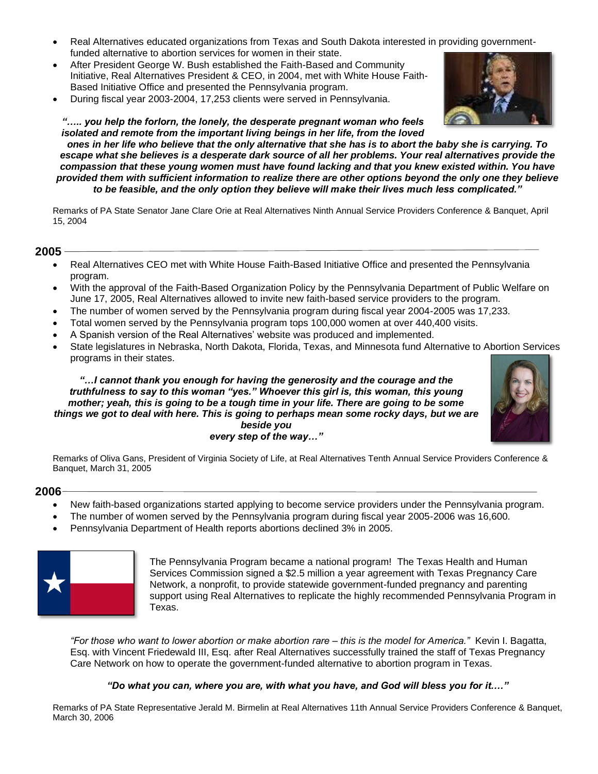- Real Alternatives educated organizations from Texas and South Dakota interested in providing governmentfunded alternative to abortion services for women in their state.
- After President George W. Bush established the Faith-Based and Community Initiative, Real Alternatives President & CEO, in 2004, met with White House Faith-Based Initiative Office and presented the Pennsylvania program.
- During fiscal year 2003-2004, 17,253 clients were served in Pennsylvania.

*"….. you help the forlorn, the lonely, the desperate pregnant woman who feels isolated and remote from the important living beings in her life, from the loved ones in her life who believe that the only alternative that she has is to abort the baby she is carrying. To escape what she believes is a desperate dark source of all her problems. Your real alternatives provide the compassion that these young women must have found lacking and that you knew existed within. You have provided them with sufficient information to realize there are other options beyond the only one they believe to be feasible, and the only option they believe will make their lives much less complicated."*

Remarks of PA State Senator Jane Clare Orie at Real Alternatives Ninth Annual Service Providers Conference & Banquet, April 15, 2004

## **2005**

- Real Alternatives CEO met with White House Faith-Based Initiative Office and presented the Pennsylvania program.
- With the approval of the Faith-Based Organization Policy by the Pennsylvania Department of Public Welfare on June 17, 2005, Real Alternatives allowed to invite new faith-based service providers to the program.
- The number of women served by the Pennsylvania program during fiscal year 2004-2005 was 17,233.
- Total women served by the Pennsylvania program tops 100,000 women at over 440,400 visits.
- A Spanish version of the Real Alternatives' website was produced and implemented.
- State legislatures in Nebraska, North Dakota, Florida, Texas, and Minnesota fund Alternative to Abortion Services programs in their states.

*"…I cannot thank you enough for having the generosity and the courage and the truthfulness to say to this woman "yes." Whoever this girl is, this woman, this young mother; yeah, this is going to be a tough time in your life. There are going to be some things we got to deal with here. This is going to perhaps mean some rocky days, but we are beside you every step of the way…"*



Remarks of Oliva Gans, President of Virginia Society of Life, at Real Alternatives Tenth Annual Service Providers Conference & Banquet, March 31, 2005

## **2006**

- New faith-based organizations started applying to become service providers under the Pennsylvania program.
- The number of women served by the Pennsylvania program during fiscal year 2005-2006 was 16,600.
- Pennsylvania Department of Health reports abortions declined 3% in 2005.



The Pennsylvania Program became a national program! The Texas Health and Human Services Commission signed a \$2.5 million a year agreement with Texas Pregnancy Care Network, a nonprofit, to provide statewide government-funded pregnancy and parenting support using Real Alternatives to replicate the highly recommended Pennsylvania Program in Texas.

*"For those who want to lower abortion or make abortion rare – this is the model for America."* Kevin I. Bagatta, Esq. with Vincent Friedewald III, Esq. after Real Alternatives successfully trained the staff of Texas Pregnancy Care Network on how to operate the government-funded alternative to abortion program in Texas.

#### *"Do what you can, where you are, with what you have, and God will bless you for it.…"*

Remarks of PA State Representative Jerald M. Birmelin at Real Alternatives 11th Annual Service Providers Conference & Banquet, March 30, 2006

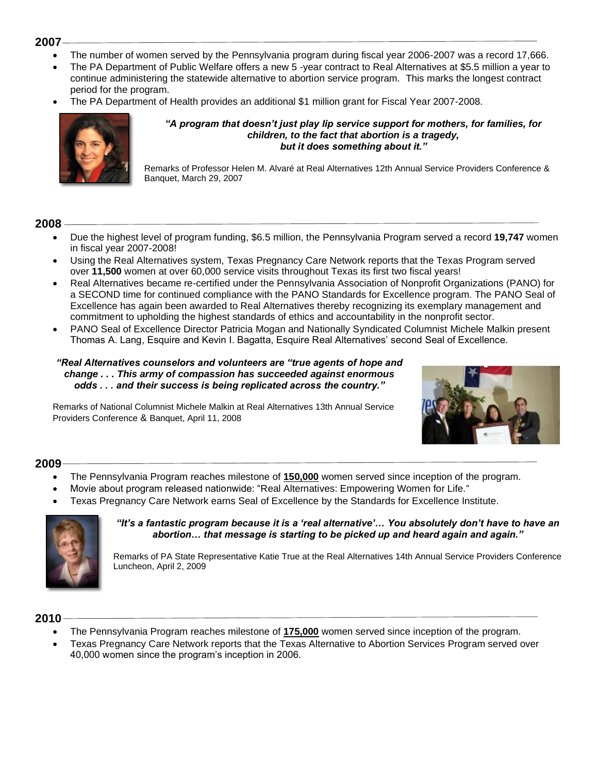## **2007**

- The number of women served by the Pennsylvania program during fiscal year 2006-2007 was a record 17,666.
- The PA Department of Public Welfare offers a new 5 -year contract to Real Alternatives at \$5.5 million a year to continue administering the statewide alternative to abortion service program. This marks the longest contract period for the program.
- The PA Department of Health provides an additional \$1 million grant for Fiscal Year 2007-2008.



#### *"A program that doesn't just play lip service support for mothers, for families, for children, to the fact that abortion is a tragedy, but it does something about it."*

Remarks of Professor Helen M. Alvaré at Real Alternatives 12th Annual Service Providers Conference & Banquet, March 29, 2007

# **2008**

- Due the highest level of program funding, \$6.5 million, the Pennsylvania Program served a record **19,747** women in fiscal year 2007-2008!
- Using the Real Alternatives system, Texas Pregnancy Care Network reports that the Texas Program served over **11,500** women at over 60,000 service visits throughout Texas its first two fiscal years!
- Real Alternatives became re-certified under the Pennsylvania Association of Nonprofit Organizations (PANO) for a SECOND time for continued compliance with the PANO Standards for Excellence program. The PANO Seal of Excellence has again been awarded to Real Alternatives thereby recognizing its exemplary management and commitment to upholding the highest standards of ethics and accountability in the nonprofit sector.
- PANO Seal of Excellence Director Patricia Mogan and Nationally Syndicated Columnist Michele Malkin present Thomas A. Lang, Esquire and Kevin I. Bagatta, Esquire Real Alternatives' second Seal of Excellence.

## *"Real Alternatives counselors and volunteers are "true agents of hope and change . . . This army of compassion has succeeded against enormous odds . . . and their success is being replicated across the country."*

Remarks of National Columnist Michele Malkin at Real Alternatives 13th Annual Service Providers Conference & Banquet, April 11, 2008



# **2009**

- The Pennsylvania Program reaches milestone of **150,000** women served since inception of the program.
- Movie about program released nationwide: "Real Alternatives: Empowering Women for Life."
- Texas Pregnancy Care Network earns Seal of Excellence by the Standards for Excellence Institute.



#### *"It's a fantastic program because it is a 'real alternative'… You absolutely don't have to have an abortion… that message is starting to be picked up and heard again and again."*

Remarks of PA State Representative Katie True at the Real Alternatives 14th Annual Service Providers Conference Luncheon, April 2, 2009

# **2010**

- The Pennsylvania Program reaches milestone of **175,000** women served since inception of the program.
- Texas Pregnancy Care Network reports that the Texas Alternative to Abortion Services Program served over 40,000 women since the program's inception in 2006.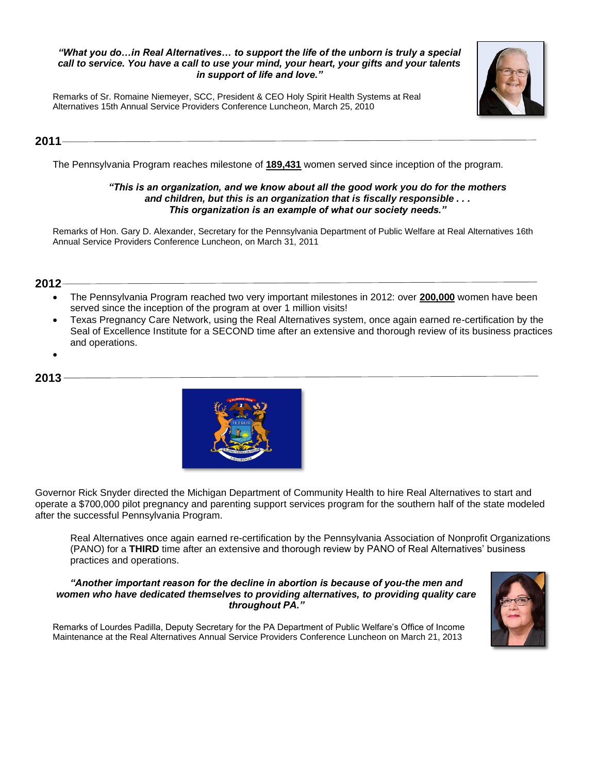### *"What you do…in Real Alternatives… to support the life of the unborn is truly a special call to service. You have a call to use your mind, your heart, your gifts and your talents in support of life and love."*

Remarks of Sr. Romaine Niemeyer, SCC, President & CEO Holy Spirit Health Systems at Real Alternatives 15th Annual Service Providers Conference Luncheon, March 25, 2010

# **2011**

The Pennsylvania Program reaches milestone of **189,431** women served since inception of the program.

## *"This is an organization, and we know about all the good work you do for the mothers and children, but this is an organization that is fiscally responsible . . . This organization is an example of what our society needs."*

Remarks of Hon. Gary D. Alexander, Secretary for the Pennsylvania Department of Public Welfare at Real Alternatives 16th Annual Service Providers Conference Luncheon, on March 31, 2011

# **2012**

- The Pennsylvania Program reached two very important milestones in 2012: over **200,000** women have been served since the inception of the program at over 1 million visits!
- Texas Pregnancy Care Network, using the Real Alternatives system, once again earned re-certification by the Seal of Excellence Institute for a SECOND time after an extensive and thorough review of its business practices and operations.
- •

# **2013**



Governor Rick Snyder directed the Michigan Department of Community Health to hire Real Alternatives to start and operate a \$700,000 pilot pregnancy and parenting support services program for the southern half of the state modeled after the successful Pennsylvania Program.

Real Alternatives once again earned re-certification by the Pennsylvania Association of Nonprofit Organizations (PANO) for a **THIRD** time after an extensive and thorough review by PANO of Real Alternatives' business practices and operations.

#### *"Another important reason for the decline in abortion is because of you-the men and women who have dedicated themselves to providing alternatives, to providing quality care throughout PA."*



Remarks of Lourdes Padilla, Deputy Secretary for the PA Department of Public Welfare's Office of Income Maintenance at the Real Alternatives Annual Service Providers Conference Luncheon on March 21, 2013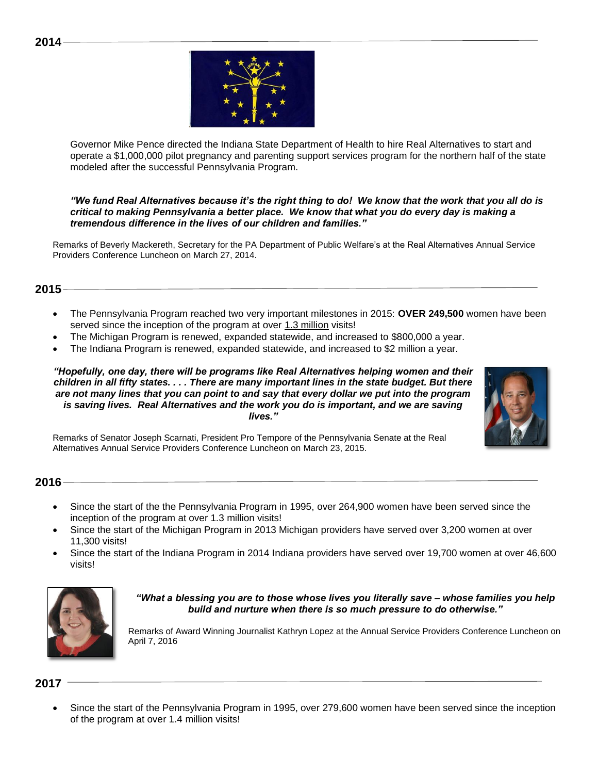

Governor Mike Pence directed the Indiana State Department of Health to hire Real Alternatives to start and operate a \$1,000,000 pilot pregnancy and parenting support services program for the northern half of the state modeled after the successful Pennsylvania Program.

*"We fund Real Alternatives because it's the right thing to do! We know that the work that you all do is critical to making Pennsylvania a better place. We know that what you do every day is making a tremendous difference in the lives of our children and families."*

Remarks of Beverly Mackereth, Secretary for the PA Department of Public Welfare's at the Real Alternatives Annual Service Providers Conference Luncheon on March 27, 2014.

# **2015**

- The Pennsylvania Program reached two very important milestones in 2015: **OVER 249,500** women have been served since the inception of the program at over 1.3 million visits!
- The Michigan Program is renewed, expanded statewide, and increased to \$800,000 a year.
- The Indiana Program is renewed, expanded statewide, and increased to \$2 million a year.

*"Hopefully, one day, there will be programs like Real Alternatives helping women and their children in all fifty states. . . . There are many important lines in the state budget. But there are not many lines that you can point to and say that every dollar we put into the program is saving lives. Real Alternatives and the work you do is important, and we are saving lives."*



Remarks of Senator Joseph Scarnati, President Pro Tempore of the Pennsylvania Senate at the Real Alternatives Annual Service Providers Conference Luncheon on March 23, 2015.

**2016**

- Since the start of the the Pennsylvania Program in 1995, over 264,900 women have been served since the inception of the program at over 1.3 million visits!
- Since the start of the Michigan Program in 2013 Michigan providers have served over 3,200 women at over 11,300 visits!
- Since the start of the Indiana Program in 2014 Indiana providers have served over 19,700 women at over 46,600 visits!



*"What a blessing you are to those whose lives you literally save – whose families you help build and nurture when there is so much pressure to do otherwise."* 

Remarks of Award Winning Journalist Kathryn Lopez at the Annual Service Providers Conference Luncheon on April 7, 2016

# **2017**

• Since the start of the Pennsylvania Program in 1995, over 279,600 women have been served since the inception of the program at over 1.4 million visits!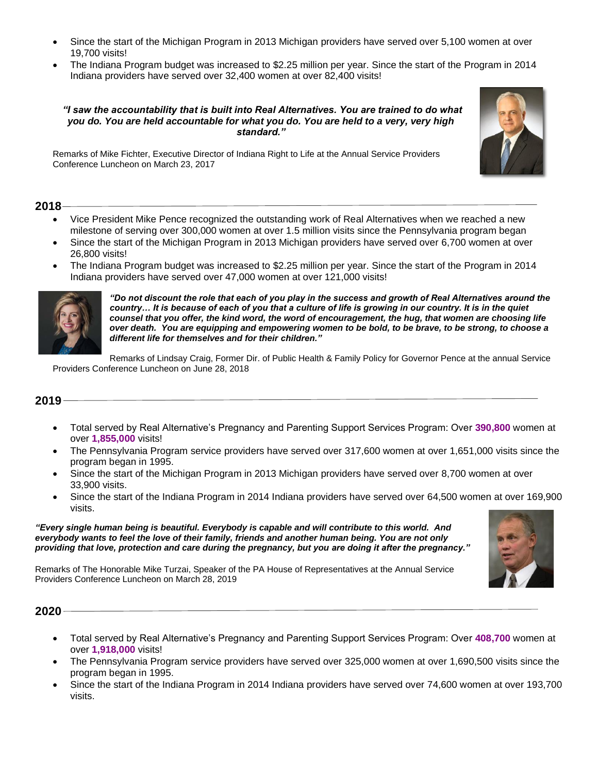- Since the start of the Michigan Program in 2013 Michigan providers have served over 5,100 women at over 19,700 visits!
- The Indiana Program budget was increased to \$2.25 million per year. Since the start of the Program in 2014 Indiana providers have served over 32,400 women at over 82,400 visits!

#### *"I saw the accountability that is built into Real Alternatives. You are trained to do what you do. You are held accountable for what you do. You are held to a very, very high standard."*

Remarks of Mike Fichter, Executive Director of Indiana Right to Life at the Annual Service Providers Conference Luncheon on March 23, 2017

## **2018**

- Vice President Mike Pence recognized the outstanding work of Real Alternatives when we reached a new milestone of serving over 300,000 women at over 1.5 million visits since the Pennsylvania program began
- Since the start of the Michigan Program in 2013 Michigan providers have served over 6,700 women at over 26,800 visits!
- The Indiana Program budget was increased to \$2.25 million per year. Since the start of the Program in 2014 Indiana providers have served over 47,000 women at over 121,000 visits!



*"Do not discount the role that each of you play in the success and growth of Real Alternatives around the country… It is because of each of you that a culture of life is growing in our country. It is in the quiet counsel that you offer, the kind word, the word of encouragement, the hug, that women are choosing life over death. You are equipping and empowering women to be bold, to be brave, to be strong, to choose a different life for themselves and for their children."*

Remarks of Lindsay Craig, Former Dir. of Public Health & Family Policy for Governor Pence at the annual Service Providers Conference Luncheon on June 28, 2018

# **2019**

- Total served by Real Alternative's Pregnancy and Parenting Support Services Program: Over **390,800** women at over **1,855,000** visits!
- The Pennsylvania Program service providers have served over 317,600 women at over 1,651,000 visits since the program began in 1995.
- Since the start of the Michigan Program in 2013 Michigan providers have served over 8,700 women at over 33,900 visits.
- Since the start of the Indiana Program in 2014 Indiana providers have served over 64,500 women at over 169,900 visits.

*"Every single human being is beautiful. Everybody is capable and will contribute to this world. And everybody wants to feel the love of their family, friends and another human being. You are not only providing that love, protection and care during the pregnancy, but you are doing it after the pregnancy."*

Remarks of The Honorable Mike Turzai, Speaker of the PA House of Representatives at the Annual Service Providers Conference Luncheon on March 28, 2019



# **2020**

- Total served by Real Alternative's Pregnancy and Parenting Support Services Program: Over **408,700** women at over **1,918,000** visits!
- The Pennsylvania Program service providers have served over 325,000 women at over 1,690,500 visits since the program began in 1995.
- Since the start of the Indiana Program in 2014 Indiana providers have served over 74,600 women at over 193,700 visits.